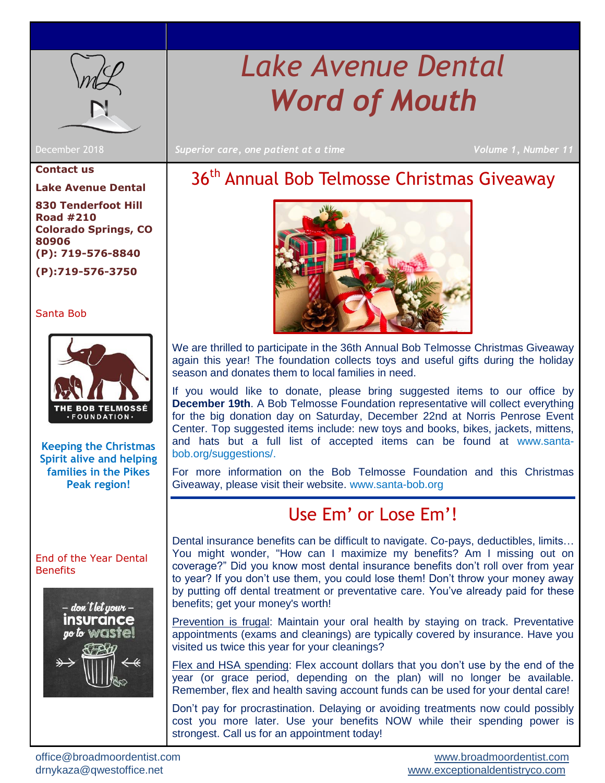

# *Lake Avenue Dental Word of Mouth*

December 2018 *Superior care, one patient at a time Volume 1, Number 11*

#### **Contact us**

**Lake Avenue Dental**

**830 Tenderfoot Hill Road #210 Colorado Springs, CO 80906 (P): 719-576-8840 (P):719-576-3750**

### [Santa Bob](#page-0-0)



**Keeping the Christmas Spirit alive and helping families in the Pikes Peak region!**

#### [End of the Year Dental](#page-0-1)  **[Benefits](#page-0-1)**



## <span id="page-0-0"></span>36<sup>th</sup> Annual Bob Telmosse Christmas Giveaway



We are thrilled to participate in the 36th Annual Bob Telmosse Christmas Giveaway again this year! The foundation collects toys and useful gifts during the holiday season and donates them to local families in need.

If you would like to donate, please bring suggested items to our office by **December 19th**. A Bob Telmosse Foundation representative will collect everything for the big donation day on Saturday, December 22nd at Norris Penrose Event Center. Top suggested items include: new toys and books, bikes, jackets, mittens, and hats but a full list of accepted items can be found at [www.santa](http://www.santa-bob.org/suggestions/)[bob.org/suggestions/.](http://www.santa-bob.org/suggestions/)

<span id="page-0-1"></span>For more information on the Bob Telmosse Foundation and this Christmas Giveaway, please visit their website. [www.santa-bob.org](http://www.santa-bob.org/)

### Use Em' or Lose Em'!

Dental insurance benefits can be difficult to navigate. Co-pays, deductibles, limits… You might wonder, "How can I maximize my benefits? Am I missing out on coverage?" Did you know most dental insurance benefits don't roll over from year to year? If you don't use them, you could lose them! Don't throw your money away by putting off dental treatment or preventative care. You've already paid for these benefits; get your money's worth!

Prevention is frugal: Maintain your oral health by staying on track. Preventative appointments (exams and cleanings) are typically covered by insurance. Have you visited us twice this year for your cleanings?

Flex and HSA spending: Flex account dollars that you don't use by the end of the year (or grace period, depending on the plan) will no longer be available. Remember, flex and health saving account funds can be used for your dental care!

Don't pay for procrastination. Delaying or avoiding treatments now could possibly cost you more later. Use your benefits NOW while their spending power is strongest. Call us for an appointment today!